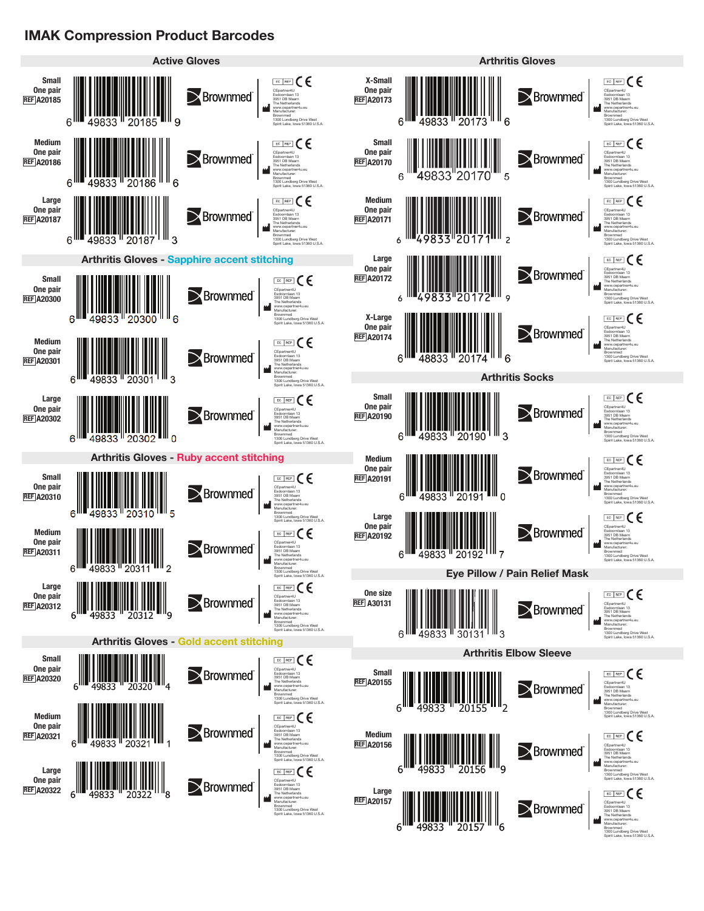## **IMAK Compression Product Barcodes**